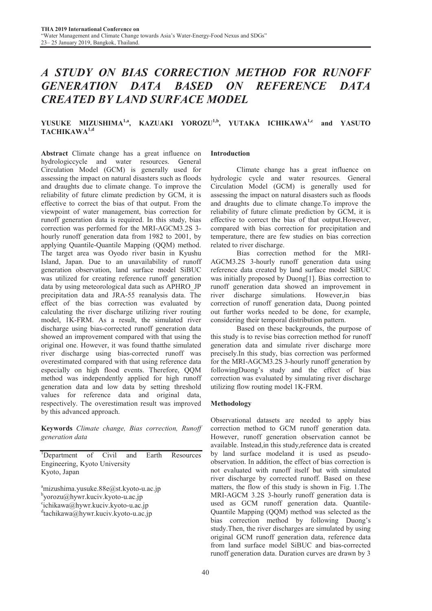# *A STUDY ON BIAS CORRECTION METHOD FOR RUNOFF GENERATION DATA BASED ON REFERENCE DATA CREATED BY LAND SURFACE MODEL*

## YUSUKE MIZUSHIMA<sup>1,a</sup>, KAZUAKI YOROZU<sup>1,b</sup>, YUTAKA ICHIKAWA<sup>1,c</sup> and YASUTO TACHIKAWA<sup>1,d</sup>

Abstract Climate change has a great influence on hydrologiccycle and water resources. General Circulation Model (GCM) is generally used for assessing the impact on natural disasters such as floods and draughts due to climate change. To improve the reliability of future climate prediction by GCM, it is effective to correct the bias of that output. From the viewpoint of water management, bias correction for runoff generation data is required. In this study, bias correction was performed for the MRI-AGCM3.2S 3 hourly runoff generation data from 1982 to 2001, by applying Quantile-Quantile Mapping (QQM) method. The target area was Oyodo river basin in Kyushu Island, Japan. Due to an unavailability of runoff generation observation, land surface model SiBUC was utilized for creating reference runoff generation data by using meteorological data such as APHRO\_JP precipitation data and JRA-55 reanalysis data. The effect of the bias correction was evaluated by calculating the river discharge utilizing river routing model, 1K-FRM. As a result, the simulated river discharge using bias-corrected runoff generation data showed an improvement compared with that using the original one. However, it was found thatthe simulated river discharge using bias-corrected runoff was overestimated compared with that using reference data especially on high flood events. Therefore, QQM method was independently applied for high runoff generation data and low data by setting threshold values for reference data and original data, respectively. The overestimation result was improved by this advanced approach.

Keywords *Climate change, Bias correction, Runoff generation data*

<sup>1</sup>Department of Civil and Earth Resources Engineering, Kyoto University Kyoto, Japan

<sup>a</sup>mizushima.yusuke.88e@st.kyoto-u.ac.jp

b yorozu@hywr.kuciv.kyoto-u.ac.jp

c ichikawa@hywr.kuciv.kyoto-u.ac.jp

d tachikawa@hywr.kuciv.kyoto-u.ac.jp

#### Introduction

 Climate change has a great influence on hydrologic cycle and water resources. General Circulation Model (GCM) is generally used for assessing the impact on natural disasters such as floods and draughts due to climate change.To improve the reliability of future climate prediction by GCM, it is effective to correct the bias of that output.However, compared with bias correction for precipitation and temperature, there are few studies on bias correction related to river discharge.

 Bias correction method for the MRI-AGCM3.2S 3-hourly runoff generation data using reference data created by land surface model SiBUC was initially proposed by Duong[1]. Bias correction to runoff generation data showed an improvement in river discharge simulations. However,in bias correction of runoff generation data, Duong pointed out further works needed to be done, for example, considering their temporal distribution pattern.

 Based on these backgrounds, the purpose of this study is to revise bias correction method for runoff generation data and simulate river discharge more precisely.In this study, bias correction was performed for the MRI-AGCM3.2S 3-hourly runoff generation by followingDuong's study and the effect of bias correction was evaluated by simulating river discharge utilizing flow routing model 1K-FRM.

## Methodology

Observational datasets are needed to apply bias correction method to GCM runoff generation data. However, runoff generation observation cannot be available. Instead,in this study,reference data is created by land surface modeland it is used as pseudoobservation. In addition, the effect of bias correction is not evaluated with runoff itself but with simulated river discharge by corrected runoff. Based on these matters, the flow of this study is shown in Fig. 1.The MRI-AGCM 3.2S 3-hourly runoff generation data is used as GCM runoff generation data. Quantile-Quantile Mapping (QQM) method was selected as the bias correction method by following Duong's study.Then, the river discharges are simulated by using original GCM runoff generation data, reference data from land surface model SiBUC and bias-corrected runoff generation data. Duration curves are drawn by 3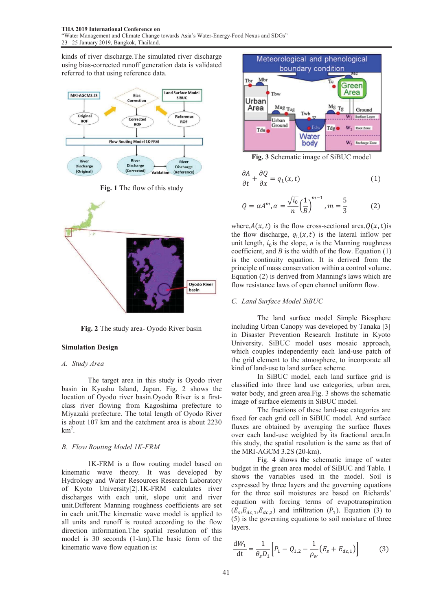kinds of river discharge. The simulated river discharge using bias-corrected runoff generation data is validated referred to that using reference data.



Fig. 1 The flow of this study



Fig. 2 The study area- Oyodo River basin

## Simulation Design

#### *A. Study Area*

The target area in this study is Oyodo river basin in Kyushu Island, Japan. Fig. 2 shows the location of Oyodo river basin. Oyodo River is a firstclass river flowing from Kag goshima prefecture to Miyazaki prefecture. The total l length of Oyodo River is about 107 km and the catchm ment area is about 2230  $km^2$ .

#### *B. Flow Routing Model 1K-FRM M*

1K-FRM is a flow routing model based on kinematic wave theory. It was developed by Hydrology and Water Resources s Research Laboratory of Kyoto University[2].1K-FR RM calculates river discharges with each unit, slope unit and river unit.Different Manning roughness coefficients are set in each unit. The kinematic wave model is applied to all units and runoff is routed a according to the flow direction information. The spatial resolution of this model is 30 seconds (1-km).T he basic form of the kinematic wave flow equation is :



Fig. 3 Schematic image of SiBUC model

$$
\frac{\partial A}{\partial t} + \frac{\partial Q}{\partial x} = q_{\text{L}}(x, t) \tag{1}
$$

$$
Q = \alpha A^{m}, \alpha = \frac{\sqrt{i_0}}{n} \left(\frac{1}{B}\right)^{m-1}, m = \frac{5}{3}
$$
 (2)

where, $A(x, t)$  is the flow cross-sectional area,  $Q(x, t)$  is the flow discharge,  $q_L(x, t)$  is the lateral inflow per unit length,  $i_0$  is the slope,  $n$  is the Manning roughness coefficient, and  $B$  is the width of the flow. Equation  $(1)$ is the continuity equation. It is derived from the principle of mass conservation within a control volume. Equation (2) is derived from Manning's laws which are flow resistance laws of open channel uniform flow.

#### *C. Land Surface Model SiB BUC*

The land surface model Simple Biosphere including Urban Canopy was developed by Tanaka [3] in Disaster Prevention Research Institute in Kyoto University. SiBUC model uses mosaic approach, which couples independently each land-use patch of the grid element to the atm mosphere, to incorporate all kind of land-use to land surf face scheme.

In SiBUC model, each land surface grid is classified into three land use categories, urban area, water body, and green area. Fig. 3 shows the schematic image of surface elements in SiBUC model.

The fractions of these land-use categories are fixed for each grid cell in S SiBUC model. And surface fluxes are obtained by averaging the surface fluxes over each land-use weighted by its fractional area.In this study, the spatial resolution is the same as that of the MRI-AGCM 3.2S (20-km).

Fig. 4 shows the schematic image of water budget in the green area model of SiBUC and Table. 1 shows the variables used in the model. Soil is expressed by three layers and the governing equations for the three soil moistures are based on Richards' equation with forcing terms of evapotranspiration  $(E_s, E_{dc,1}, E_{dc,2})$  and infiltration  $(P_1)$ . Equation (3) to (5) is the governing equations to soil moisture of three layers.

$$
\frac{dW_1}{dt} = \frac{1}{\theta_s D_1} \Big[ P_1 - Q_{1,2} - \frac{1}{\rho_w} \big( E_s + E_{dc,1} \big) \Big] \tag{3}
$$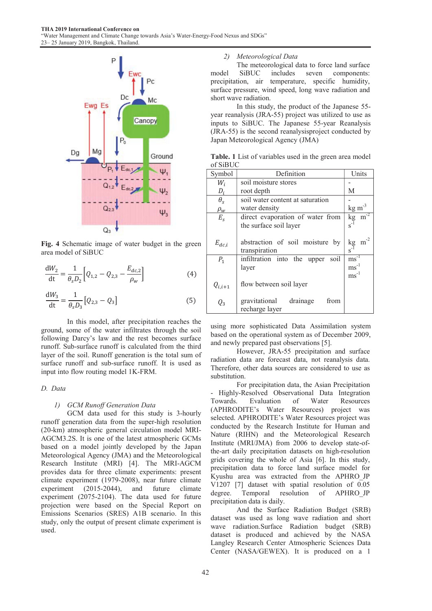

Fig. 4 Schematic image of water budget in the green area model of SiBUC

$$
\frac{dW_2}{dt} = \frac{1}{\theta_s D_2} \left[ Q_{1,2} - Q_{2,3} - \frac{E_{dc,2}}{\rho_w} \right]
$$
(4)

$$
\frac{dW_3}{dt} = \frac{1}{\theta_s D_3} [Q_{2,3} - Q_3]
$$
 (5)

 In this model, after precipitation reaches the ground, some of the water infiltrates through the soil following Darcy's law and the rest becomes surface runoff. Sub-surface runoff is calculated from the third layer of the soil. Runoff generation is the total sum of surface runoff and sub-surface runoff. It is used as input into flow routing model 1K-FRM.

#### *D. Data*

## *1) GCM Runoff Generation Data*

 GCM data used for this study is 3-hourly runoff generation data from the super-high resolution (20-km) atmospheric general circulation model MRI-AGCM3.2S. It is one of the latest atmospheric GCMs based on a model jointly developed by the Japan Meteorological Agency (JMA) and the Meteorological Research Institute (MRI) [4]. The MRI-AGCM provides data for three climate experiments: present climate experiment (1979-2008), near future climate experiment (2015-2044), and future climate experiment (2075-2104). The data used for future projection were based on the Special Report on Emissions Scenarios (SRES) A1B scenario. In this study, only the output of present climate experiment is used.

## *2) Meteorological Data*

 The meteorological data to force land surface model SiBUC includes seven components: precipitation, air temperature, specific humidity, surface pressure, wind speed, long wave radiation and short wave radiation.

 In this study, the product of the Japanese 55 year reanalysis (JRA-55) project was utilized to use as inputs to SiBUC. The Japanese 55-year Reanalysis (JRA-55) is the second reanalysisproject conducted by Japan Meteorological Agency (JMA)

Table. 1 List of variables used in the green area model of SiBUC

| Symbol      | Definition                                       | Units                                                        |
|-------------|--------------------------------------------------|--------------------------------------------------------------|
| $W_i$       | soil moisture stores                             |                                                              |
| $D_i$       | root depth                                       | М                                                            |
| $\theta_s$  | soil water content at saturation                 |                                                              |
| $\rho_w$    | water density                                    | $\text{kg m}^{-3}$                                           |
| $E_s$       | direct evaporation of water from                 | $\overline{\text{kg} \text{m}^2}$                            |
|             | the surface soil layer                           |                                                              |
|             |                                                  |                                                              |
| $E_{dc,i}$  | abstraction of soil moisture<br>by               | $\mathrm{m}^\text{-2}$<br>$\operatorname{kg}_{\overline{1}}$ |
|             | transpiration                                    |                                                              |
| $P_1$       | $ms^{-1}$<br>infiltration into the upper<br>soil |                                                              |
|             | layer                                            | $\text{ms}^{-1}$                                             |
|             |                                                  | $\text{ms}^{-1}$                                             |
| $Q_{i,i+1}$ | flow between soil layer                          |                                                              |
| $Q_3$       | gravitational<br>drainage<br>from                |                                                              |
|             | recharge layer                                   |                                                              |

using more sophisticated Data Assimilation system based on the operational system as of December 2009, and newly prepared past observations [5].

 However, JRA-55 precipitation and surface radiation data are forecast data, not reanalysis data. Therefore, other data sources are considered to use as substitution.

 For precipitation data, the Asian Precipitation - Highly-Resolved Observational Data Integration Towards. Evaluation of Water Resources (APHRODITE's Water Resources) project was selected. APHRODITE's Water Resources project was conducted by the Research Institute for Human and Nature (RIHN) and the Meteorological Research Institute (MRI/JMA) from 2006 to develop state-ofthe-art daily precipitation datasets on high-resolution grids covering the whole of Asia [6]. In this study, precipitation data to force land surface model for Kyushu area was extracted from the APHRO\_JP V1207 [7] dataset with spatial resolution of 0.05 degree. Temporal resolution of APHRO\_JP precipitation data is daily.

 And the Surface Radiation Budget (SRB) dataset was used as long wave radiation and short wave radiation.Surface Radiation budget (SRB) dataset is produced and achieved by the NASA Langley Research Center Atmospheric Sciences Data Center (NASA/GEWEX). It is produced on a 1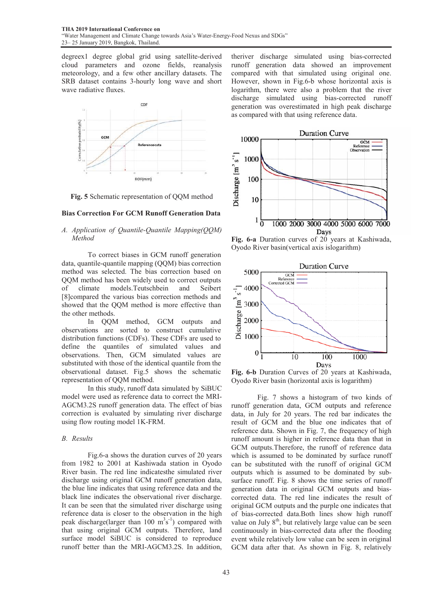degreex1 degree global grid u using satellite-derived cloud parameters and ozone fields, reanalysis meteorology, and a few other a ancillary datasets. The SRB dataset contains 3-hourly long wave and short wave radiative fluxes.



Fig. 5 Schematic representation of QQM method

#### Bias Correction For GCM Runoff Generation Data

## A. Application of Quantile-Quantile Mapping(QQM) *Method*

To correct biases in GCM runoff generation data, quantile-quantile mapping ( (QQM) bias correction method was selected. The bias s correction based on QQM method has been widely used to correct outputs of climate models.Teutschb [8]compared the various bias correction methods and showed that the QQM method is more effective than the other methods. and Seibert

In QQM method, GCM outputs and observations are sorted to construct cumulative distribution functions (CDFs). These CDFs are used to define the quantiles of simulated values and observations. Then, GCM simulated values are substituted with those of the identical quantile from the observational dataset. Fig.5 s shows the schematic representation of QQM method.

In this study, runoff data simulated by SiBUC model were used as reference data to correct the MRI-AGCM3.2S runoff generation d data. The effect of bias correction is evaluated by simulating river discharge using flow routing model 1K-FR RM.

## *B. Results*

Fig.6-a shows the duration curves of 20 years from 1982 to 2001 at Kashiwada station in Oyodo River basin. The red line indicatesthe simulated river discharge using original GCM runoff generation data, the blue line indicates that using reference data and the black line indicates the observational river discharge. It can be seen that the simulated river discharge using reference data is closer to the observation in the high peak discharge(larger than  $100 \text{ m}^3\text{s}^{-1}$ ) compared with that using original GCM outputs. Therefore, land surface model SiBUC is considered to reproduce runoff better than the MRI-AG GCM3.2S. In addition, theriver discharge simulated using bias-corrected runoff generation data s showed an improvement compared with that simulated using original one. However, shown in Fig.6-b b whose horizontal axis is logarithm, there were also a problem that the river discharge simulated using bias-corrected runoff generation was overestimated in high peak discharge as compared with that using reference data.



Fig. 6-a Duration curves of 20 years at Kashiwada, Oyodo River basin(vertical axis islogarithm)



Fig. 6-b Duration Curves of 20 years at Kashiwada, Oyodo River basin (horizontal axis is logarithm)

 Fig. 7 shows a h histogram of two kinds of runoff generation data, GC CM outputs and reference data, in July for 20 years. The red bar indicates the result of GCM and the b blue one indicates that of reference data. Shown in Fig. 7, the frequency of high runoff amount is higher in reference data than that in GCM outputs. Therefore, the runoff of reference data which is assumed to be dominated by surface runoff can be substituted with the runoff of original GCM outputs which is assumed to be dominated by subsurface runoff. Fig. 8 shows the time series of runoff generation data in original l GCM outputs and biascorrected data. The red line indicates the result of original GCM outputs and the purple one indicates that of bias-corrected data.Both h lines show high runoff value on July  $8<sup>th</sup>$ , but relatively large value can be seen continuously in bias-correc ted data after the flooding event while relatively low v alue can be seen in original GCM data after that. As shown in Fig. 8, relatively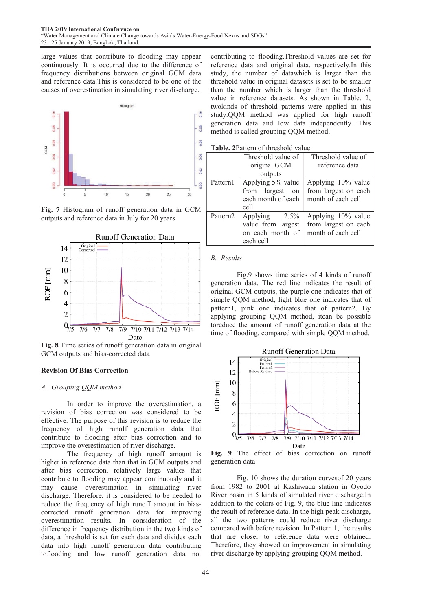large values that contribute to flooding may appear continuously. It is occurred due to th he difference of frequency distributions between original GCM data and reference data. This is considered to be one of the causes of overestimation in simulating river discharge.



Fig. 7 Histogram of runoff generation data in GCM outputs and reference data in July for 20 years



Fig. 8 Time series of runoff generation data in original GCM outputs and bias-corrected data

## Revision Of Bias Correction

## *A. Grouping QQM method*

In order to improve the overestimation, a revision of bias correction was considered to be effective. The purpose of this revision is to reduce the frequency of high runoff generation data that contribute to flooding after bias correction and to improve the overestimation of river discharge.

The frequency of high runoff amount is higher in reference data than that in GCM outputs and after bias correction, relatively larg ge values that contribute to flooding may appear continuously and it may cause overestimation in simulating river discharge. Therefore, it is considered to be needed to reduce the frequency of high runoff amount in biascorrected runoff generation data for improving overestimation results. In consideration of the difference in frequency distribution in th he two kinds of data, a threshold is set for each data and divides each data into high runoff generation data contributing toflooding and low runoff generation data not contributing to flooding.Threshold d values are set for reference data and original data, respectively.In this study, the number of datawhich is larger than the threshold value in original datasets is set to be smaller than the number which is larger than the threshold value in reference datasets. As s shown in Table. 2, twokinds of threshold patterns w were applied in this study.QQM method was applied for high runoff generation data and low data i independently. This method is called grouping QQM m method.

Table. 2Pattern of threshold value

| <b>Table.</b> 21 augustus ultesiloid value |                    |                      |  |
|--------------------------------------------|--------------------|----------------------|--|
|                                            | Threshold value of | Threshold value of   |  |
|                                            | original GCM       | reference data       |  |
|                                            | outputs            |                      |  |
| Pattern1                                   | Applying 5% value  | Applying 10% value   |  |
|                                            | from largest<br>on | from largest on each |  |
|                                            | each month of each | month of each cell   |  |
|                                            | cell               |                      |  |
| Pattern <sub>2</sub>                       | Applying<br>2.5%   | Applying 10% value   |  |
|                                            | value from largest | from largest on each |  |
|                                            | on each month of   | month of each cell   |  |
|                                            | each cell          |                      |  |

#### *B. Results*

Fig.9 shows time series of 4 kinds of runoff generation data. The red line indicates the result of original GCM outputs, the purple one indicates that of simple QQM method, light blue one indicates that of pattern1, pink one indicates that of pattern2. By applying grouping QQM method d, itcan be possible toreduce the amount of runoff generation data at the time of flooding, compared with simple QQM method.



Fig. 9 The effect of bias correction on runoff generation data

Fig. 10 shows the duration curves of 20 years from 1982 to 2001 at Kashiwad da station in Oyodo River basin in 5 kinds of simulated river discharge.In addition to the colors of Fig. 9, the blue line indicates the result of reference data. In the h high peak discharge, all the two patterns could reduce river discharge compared with before revision. In P Pattern 1, the results that are closer to reference data were obtained. Therefore, they showed an improvement in simulating river discharge by applying grouping QQM method.